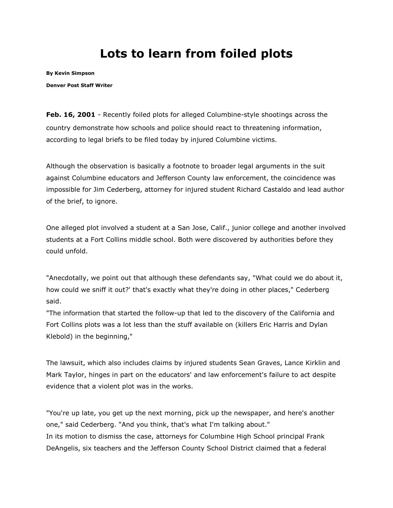## **Lots to learn from foiled plots**

**By [Kevin Simpson](mailto:ksimpson@denverpost.com)**

**Denver Post Staff Writer**

**Feb. 16, 2001** - Recently foiled plots for alleged Columbine-style shootings across the country demonstrate how schools and police should react to threatening information, according to legal briefs to be filed today by injured Columbine victims.

Although the observation is basically a footnote to broader legal arguments in the suit against Columbine educators and Jefferson County law enforcement, the coincidence was impossible for Jim Cederberg, attorney for injured student Richard Castaldo and lead author of the brief, to ignore.

One alleged plot involved a student at a San Jose, Calif., junior college and another involved students at a Fort Collins middle school. Both were discovered by authorities before they could unfold.

"Anecdotally, we point out that although these defendants say, "What could we do about it, how could we sniff it out?' that's exactly what they're doing in other places," Cederberg said.

"The information that started the follow-up that led to the discovery of the California and Fort Collins plots was a lot less than the stuff available on (killers Eric Harris and Dylan Klebold) in the beginning,"

The lawsuit, which also includes claims by injured students Sean Graves, Lance Kirklin and Mark Taylor, hinges in part on the educators' and law enforcement's failure to act despite evidence that a violent plot was in the works.

"You're up late, you get up the next morning, pick up the newspaper, and here's another one," said Cederberg. "And you think, that's what I'm talking about." In its motion to dismiss the case, attorneys for Columbine High School principal Frank DeAngelis, six teachers and the Jefferson County School District claimed that a federal